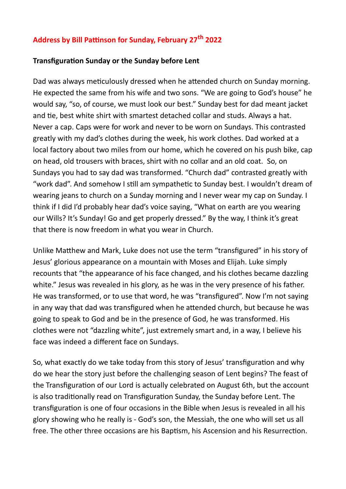## **Address by Bill Pattinson for Sunday, February 27th 2022**

## **Transfiguration Sunday or the Sunday before Lent**

Dad was always meticulously dressed when he attended church on Sunday morning. He expected the same from his wife and two sons. "We are going to God's house" he would say, "so, of course, we must look our best." Sunday best for dad meant jacket and tie, best white shirt with smartest detached collar and studs. Always a hat. Never a cap. Caps were for work and never to be worn on Sundays. This contrasted greatly with my dad's clothes during the week, his work clothes. Dad worked at a local factory about two miles from our home, which he covered on his push bike, cap on head, old trousers with braces, shirt with no collar and an old coat. So, on Sundays you had to say dad was transformed. "Church dad" contrasted greatly with "work dad". And somehow I still am sympathetic to Sunday best. I wouldn't dream of wearing jeans to church on a Sunday morning and I never wear my cap on Sunday. I think if I did I'd probably hear dad's voice saying, "What on earth are you wearing our Wills? It's Sunday! Go and get properly dressed." By the way, I think it's great that there is now freedom in what you wear in Church.

Unlike Matthew and Mark, Luke does not use the term "transfigured" in his story of Jesus' glorious appearance on a mountain with Moses and Elijah. Luke simply recounts that "the appearance of his face changed, and his clothes became dazzling white." Jesus was revealed in his glory, as he was in the very presence of his father. He was transformed, or to use that word, he was "transfigured". Now I'm not saying in any way that dad was transfigured when he attended church, but because he was going to speak to God and be in the presence of God, he was transformed. His clothes were not "dazzling white", just extremely smart and, in a way, I believe his face was indeed a different face on Sundays.

So, what exactly do we take today from this story of Jesus' transfiguration and why do we hear the story just before the challenging season of Lent begins? The feast of the Transfiguration of our Lord is actually celebrated on August 6th, but the account is also traditionally read on Transfiguration Sunday, the Sunday before Lent. The transfiguration is one of four occasions in the Bible when Jesus is revealed in all his glory showing who he really is - God's son, the Messiah, the one who will set us all free. The other three occasions are his Baptism, his Ascension and his Resurrection.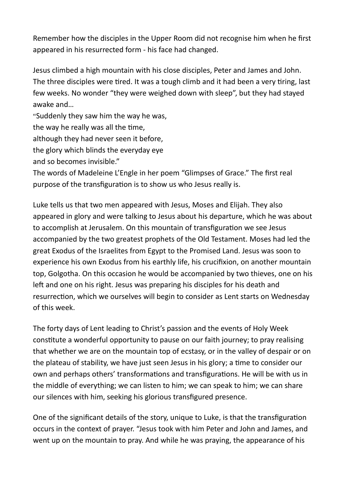Remember how the disciples in the Upper Room did not recognise him when he first appeared in his resurrected form - his face had changed.

Jesus climbed a high mountain with his close disciples, Peter and James and John. The three disciples were tired. It was a tough climb and it had been a very tiring, last few weeks. No wonder "they were weighed down with sleep", but they had stayed awake and…

"Suddenly they saw him the way he was,

the way he really was all the time,

although they had never seen it before,

the glory which blinds the everyday eye

and so becomes invisible."

The words of Madeleine L'Engle in her poem "Glimpses of Grace." The first real purpose of the transfiguration is to show us who Jesus really is.

Luke tells us that two men appeared with Jesus, Moses and Elijah. They also appeared in glory and were talking to Jesus about his departure, which he was about to accomplish at Jerusalem. On this mountain of transfiguration we see Jesus accompanied by the two greatest prophets of the Old Testament. Moses had led the great Exodus of the Israelites from Egypt to the Promised Land. Jesus was soon to experience his own Exodus from his earthly life, his crucifixion, on another mountain top, Golgotha. On this occasion he would be accompanied by two thieves, one on his left and one on his right. Jesus was preparing his disciples for his death and resurrection, which we ourselves will begin to consider as Lent starts on Wednesday of this week.

The forty days of Lent leading to Christ's passion and the events of Holy Week constitute a wonderful opportunity to pause on our faith journey; to pray realising that whether we are on the mountain top of ecstasy, or in the valley of despair or on the plateau of stability, we have just seen Jesus in his glory; a time to consider our own and perhaps others' transformations and transfigurations. He will be with us in the middle of everything; we can listen to him; we can speak to him; we can share our silences with him, seeking his glorious transfigured presence.

One of the significant details of the story, unique to Luke, is that the transfiguration occurs in the context of prayer. "Jesus took with him Peter and John and James, and went up on the mountain to pray. And while he was praying, the appearance of his